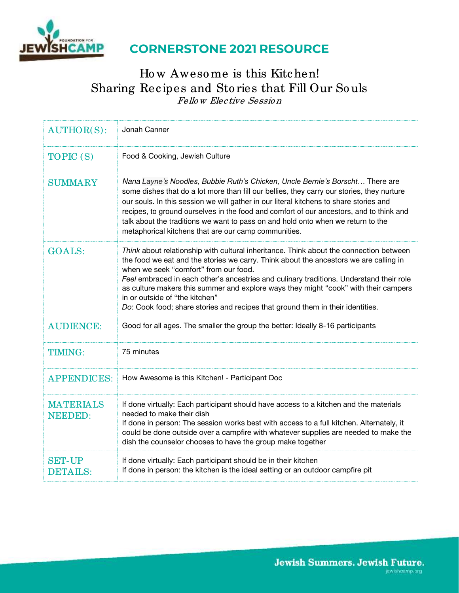

# **CORNERSTONE 2021 RESOURCE**

### Ho w Aweso me is this Kitchen! Sharing Recipes and Sto ries that Fill Our So uls Fello w Elective Sessio <sup>n</sup>

| <b>AUTHOR(S):</b>                  | Jonah Canner                                                                                                                                                                                                                                                                                                                                                                                                                                                                                                                   |
|------------------------------------|--------------------------------------------------------------------------------------------------------------------------------------------------------------------------------------------------------------------------------------------------------------------------------------------------------------------------------------------------------------------------------------------------------------------------------------------------------------------------------------------------------------------------------|
| TOPIC (S)                          | Food & Cooking, Jewish Culture                                                                                                                                                                                                                                                                                                                                                                                                                                                                                                 |
| <b>SUMMARY</b>                     | Nana Layne's Noodles, Bubbie Ruth's Chicken, Uncle Bernie's Borscht There are<br>some dishes that do a lot more than fill our bellies, they carry our stories, they nurture<br>our souls. In this session we will gather in our literal kitchens to share stories and<br>recipes, to ground ourselves in the food and comfort of our ancestors, and to think and<br>talk about the traditions we want to pass on and hold onto when we return to the<br>metaphorical kitchens that are our camp communities.                   |
| <b>GOALS:</b>                      | Think about relationship with cultural inheritance. Think about the connection between<br>the food we eat and the stories we carry. Think about the ancestors we are calling in<br>when we seek "comfort" from our food.<br>Feel embraced in each other's ancestries and culinary traditions. Understand their role<br>as culture makers this summer and explore ways they might "cook" with their campers<br>in or outside of "the kitchen"<br>Do: Cook food; share stories and recipes that ground them in their identities. |
| <b>AUDIENCE:</b>                   | Good for all ages. The smaller the group the better: Ideally 8-16 participants                                                                                                                                                                                                                                                                                                                                                                                                                                                 |
| <b>TIMING:</b>                     | 75 minutes                                                                                                                                                                                                                                                                                                                                                                                                                                                                                                                     |
| <b>APPENDICES:</b>                 | How Awesome is this Kitchen! - Participant Doc                                                                                                                                                                                                                                                                                                                                                                                                                                                                                 |
| <b>MATERIALS</b><br><b>NEEDED:</b> | If done virtually: Each participant should have access to a kitchen and the materials<br>needed to make their dish<br>If done in person: The session works best with access to a full kitchen. Alternately, it<br>could be done outside over a campfire with whatever supplies are needed to make the<br>dish the counselor chooses to have the group make together                                                                                                                                                            |
| <b>SET-UP</b><br><b>DETAILS:</b>   | If done virtually: Each participant should be in their kitchen<br>If done in person: the kitchen is the ideal setting or an outdoor campfire pit                                                                                                                                                                                                                                                                                                                                                                               |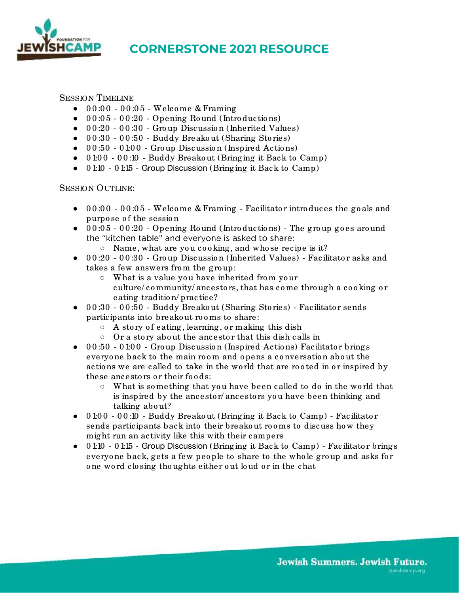

## **CORNERSTONE 2021 RESOURCE**

#### SESSION TIMELINE

- 0 0 :0 0 0 0 :0 5 Welco me & Framing
- $\bullet$  0 0 :05 00 :20 Opening Round (Introductions)
- 00:20 00:30 Group Discussion (Inherited Values)
- 0 0 :30 0 0 :50 Buddy Breako ut (Sharing Sto ries)
- 0 0 :50 0 1:0 0 Gro up Discussio n (Inspired Actio ns)
- 0 1:0 0 0 0 :10 Buddy Breako ut (Bringing it Back to Camp)
- 0 1:10 0 1:15 Group Discussion (Bringing it Back to Camp)

#### SESSION OUTLINE:

- 00:00 00:05 Welcome & Framing Facilitator introduces the goals and purpo se of the session
- $\bullet$  0  $0:05$  00:20 Opening Round (Introductions) The group goes around the "kitchen table" and everyone is asked to share:
	- Name, what are yo u co o king, and who se recipe is it?
- 00:20 00:30 Group Discussion (Inherited Values) Facilitator asks and takes a few answers from the group:
	- What is a value yo u have inherited fro m yo ur culture/ community/ ancestors, that has come through a cooking or eating traditio n/ practice?
- 00:30 00:50 Buddy Breakout (Sharing Stories) Facilitator sends participants into breakout rooms to share:
	- $\circ$  A story of eating, learning, or making this dish
	- Or a sto ry abo ut the ancesto r that this dish calls in
- 0 0:50 0 1:00 Group Discussion (Inspired Actions) Facilitator brings everyone back to the main room and opens a conversation about the actions we are called to take in the world that are rooted in or inspired by these ancestors or their foods:
	- What is so mething that yo u have been called to do in the wo rld that is inspired by the ancestor/ancestors you have been thinking and talking abo ut?
- 0 1:00 00:10 Buddy Breakout (Bringing it Back to Camp) Facilitator sends participants back into their breakout rooms to discuss how they might run an activity like this with their campers
- 0 1:10 0 1:15 Group Discussion (Bringing it Back to Camp) Facilitator brings everyone back, gets a few people to share to the whole group and asks for o ne wo rd clo sing tho ughts either o ut lo ud o r in the chat